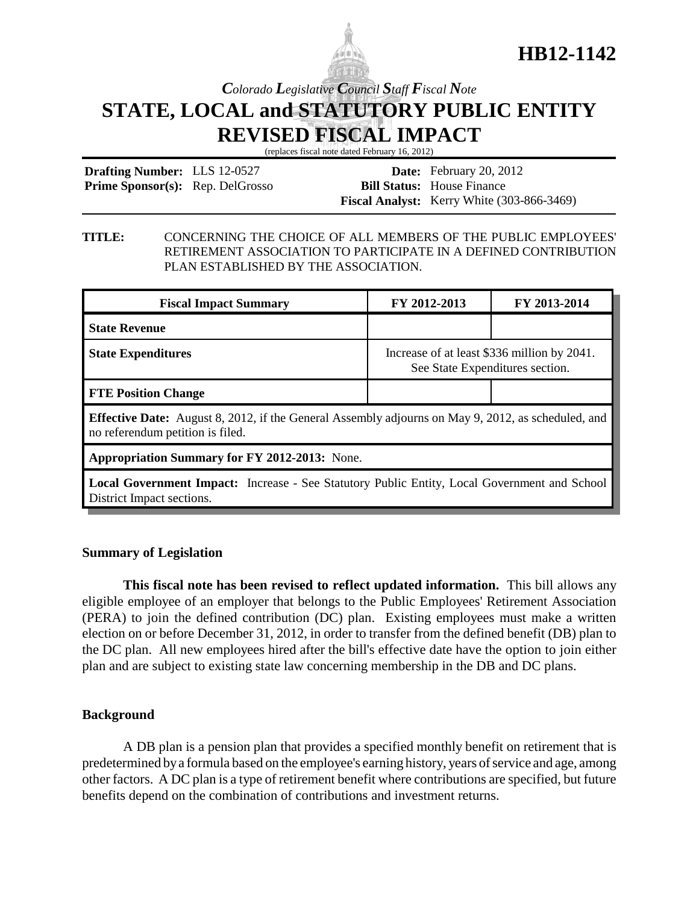

# **HB12-1142**

## *Colorado Legislative Council Staff Fiscal Note* **STATE, LOCAL and STATUTORY PUBLIC ENTITY REVISED FISCAL IMPACT**

(replaces fiscal note dated February 16, 2012)

**Drafting Number:** LLS 12-0527 Prime Sponsor(s): Rep. DelGrosso

**Date:** February 20, 2012 **Bill Status:** House Finance **Fiscal Analyst:** Kerry White (303-866-3469)

#### **TITLE:** CONCERNING THE CHOICE OF ALL MEMBERS OF THE PUBLIC EMPLOYEES' RETIREMENT ASSOCIATION TO PARTICIPATE IN A DEFINED CONTRIBUTION PLAN ESTABLISHED BY THE ASSOCIATION.

| <b>Fiscal Impact Summary</b>                                                                                                                  | FY 2012-2013                                                                   | FY 2013-2014 |  |
|-----------------------------------------------------------------------------------------------------------------------------------------------|--------------------------------------------------------------------------------|--------------|--|
| <b>State Revenue</b>                                                                                                                          |                                                                                |              |  |
| <b>State Expenditures</b>                                                                                                                     | Increase of at least \$336 million by 2041.<br>See State Expenditures section. |              |  |
| <b>FTE Position Change</b>                                                                                                                    |                                                                                |              |  |
| <b>Effective Date:</b> August 8, 2012, if the General Assembly adjourns on May 9, 2012, as scheduled, and<br>no referendum petition is filed. |                                                                                |              |  |
| <b>Appropriation Summary for FY 2012-2013:</b> None.                                                                                          |                                                                                |              |  |
| <b>Local Government Impact:</b> Increase - See Statutory Public Entity, Local Government and School                                           |                                                                                |              |  |

District Impact sections.

## **Summary of Legislation**

**This fiscal note has been revised to reflect updated information.** This bill allows any eligible employee of an employer that belongs to the Public Employees' Retirement Association (PERA) to join the defined contribution (DC) plan. Existing employees must make a written election on or before December 31, 2012, in order to transfer from the defined benefit (DB) plan to the DC plan. All new employees hired after the bill's effective date have the option to join either plan and are subject to existing state law concerning membership in the DB and DC plans.

## **Background**

A DB plan is a pension plan that provides a specified monthly benefit on retirement that is predetermined by a formula based on the employee's earning history, years of service and age, among other factors. A DC plan is a type of retirement benefit where contributions are specified, but future benefits depend on the combination of contributions and investment returns.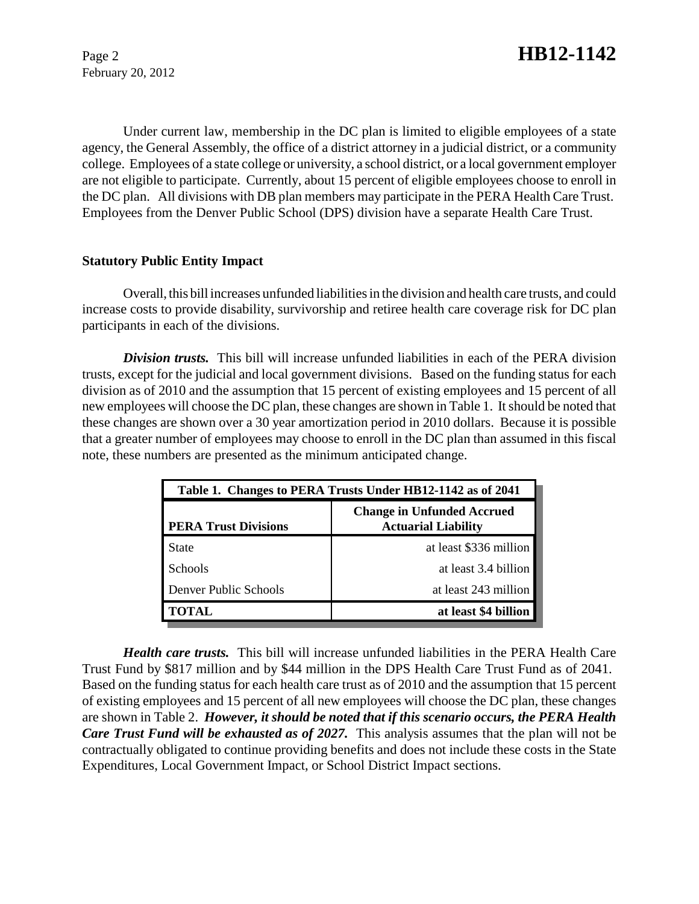February 20, 2012

Under current law, membership in the DC plan is limited to eligible employees of a state agency, the General Assembly, the office of a district attorney in a judicial district, or a community college. Employees of a state college or university, a school district, or a local government employer are not eligible to participate. Currently, about 15 percent of eligible employees choose to enroll in the DC plan. All divisions with DB plan members may participate in the PERA Health Care Trust. Employees from the Denver Public School (DPS) division have a separate Health Care Trust.

## **Statutory Public Entity Impact**

Overall, this bill increases unfunded liabilities in the division and health care trusts, and could increase costs to provide disability, survivorship and retiree health care coverage risk for DC plan participants in each of the divisions.

*Division trusts.* This bill will increase unfunded liabilities in each of the PERA division trusts, except for the judicial and local government divisions. Based on the funding status for each division as of 2010 and the assumption that 15 percent of existing employees and 15 percent of all new employees will choose the DC plan, these changes are shown in Table 1. It should be noted that these changes are shown over a 30 year amortization period in 2010 dollars. Because it is possible that a greater number of employees may choose to enroll in the DC plan than assumed in this fiscal note, these numbers are presented as the minimum anticipated change.

| Table 1. Changes to PERA Trusts Under HB12-1142 as of 2041 |                                                                 |  |
|------------------------------------------------------------|-----------------------------------------------------------------|--|
| <b>PERA Trust Divisions</b>                                | <b>Change in Unfunded Accrued</b><br><b>Actuarial Liability</b> |  |
| <b>State</b>                                               | at least \$336 million                                          |  |
| <b>Schools</b>                                             | at least 3.4 billion                                            |  |
| Denver Public Schools                                      | at least 243 million                                            |  |
| <b>TOTAL</b>                                               | at least \$4 billion                                            |  |

*Health care trusts.* This bill will increase unfunded liabilities in the PERA Health Care Trust Fund by \$817 million and by \$44 million in the DPS Health Care Trust Fund as of 2041. Based on the funding status for each health care trust as of 2010 and the assumption that 15 percent of existing employees and 15 percent of all new employees will choose the DC plan, these changes are shown in Table 2. *However, it should be noted that if this scenario occurs, the PERA Health Care Trust Fund will be exhausted as of 2027.* This analysis assumes that the plan will not be contractually obligated to continue providing benefits and does not include these costs in the State Expenditures, Local Government Impact, or School District Impact sections.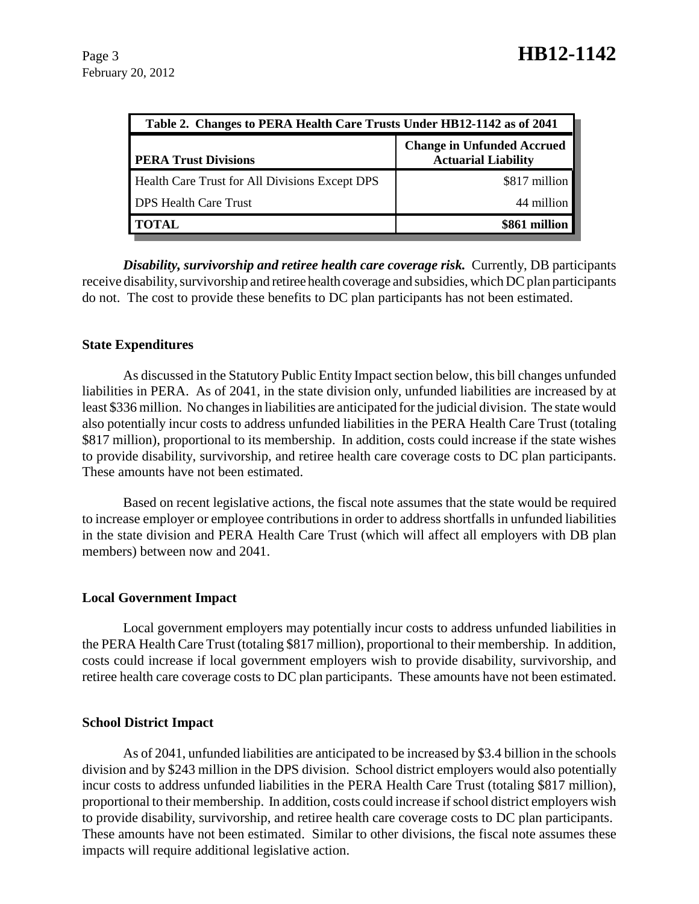| Table 2. Changes to PERA Health Care Trusts Under HB12-1142 as of 2041 |                                                                 |  |
|------------------------------------------------------------------------|-----------------------------------------------------------------|--|
| <b>PERA Trust Divisions</b>                                            | <b>Change in Unfunded Accrued</b><br><b>Actuarial Liability</b> |  |
| Health Care Trust for All Divisions Except DPS                         | \$817 million                                                   |  |
| <b>DPS Health Care Trust</b>                                           | 44 million                                                      |  |
| TOTAL                                                                  | \$861 million                                                   |  |

*Disability, survivorship and retiree health care coverage risk.* Currently, DB participants receive disability, survivorship and retiree health coverage and subsidies, which DC plan participants do not. The cost to provide these benefits to DC plan participants has not been estimated.

#### **State Expenditures**

As discussed in the Statutory Public Entity Impact section below, this bill changes unfunded liabilities in PERA. As of 2041, in the state division only, unfunded liabilities are increased by at least \$336 million. No changes in liabilities are anticipated for the judicial division. The state would also potentially incur costs to address unfunded liabilities in the PERA Health Care Trust (totaling \$817 million), proportional to its membership. In addition, costs could increase if the state wishes to provide disability, survivorship, and retiree health care coverage costs to DC plan participants. These amounts have not been estimated.

Based on recent legislative actions, the fiscal note assumes that the state would be required to increase employer or employee contributions in order to address shortfalls in unfunded liabilities in the state division and PERA Health Care Trust (which will affect all employers with DB plan members) between now and 2041.

#### **Local Government Impact**

Local government employers may potentially incur costs to address unfunded liabilities in the PERA Health Care Trust (totaling \$817 million), proportional to their membership. In addition, costs could increase if local government employers wish to provide disability, survivorship, and retiree health care coverage costs to DC plan participants. These amounts have not been estimated.

#### **School District Impact**

As of 2041, unfunded liabilities are anticipated to be increased by \$3.4 billion in the schools division and by \$243 million in the DPS division. School district employers would also potentially incur costs to address unfunded liabilities in the PERA Health Care Trust (totaling \$817 million), proportional to their membership. In addition, costs could increase if school district employers wish to provide disability, survivorship, and retiree health care coverage costs to DC plan participants. These amounts have not been estimated. Similar to other divisions, the fiscal note assumes these impacts will require additional legislative action.